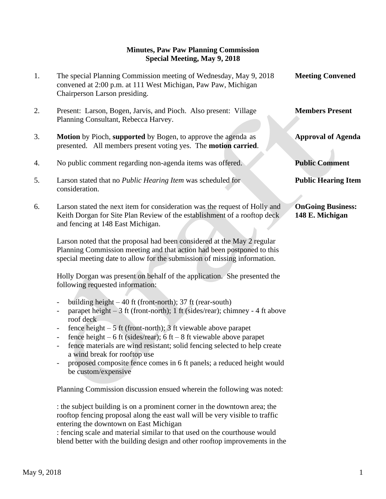## **Minutes, Paw Paw Planning Commission Special Meeting, May 9, 2018**

| 1. | The special Planning Commission meeting of Wednesday, May 9, 2018<br>convened at 2:00 p.m. at 111 West Michigan, Paw Paw, Michigan<br>Chairperson Larson presiding.                                                                                                                                                                        | <b>Meeting Convened</b>                     |
|----|--------------------------------------------------------------------------------------------------------------------------------------------------------------------------------------------------------------------------------------------------------------------------------------------------------------------------------------------|---------------------------------------------|
| 2. | Present: Larson, Bogen, Jarvis, and Pioch. Also present: Village<br>Planning Consultant, Rebecca Harvey.                                                                                                                                                                                                                                   | <b>Members Present</b>                      |
| 3. | Motion by Pioch, supported by Bogen, to approve the agenda as<br>presented. All members present voting yes. The motion carried.                                                                                                                                                                                                            | <b>Approval of Agenda</b>                   |
| 4. | No public comment regarding non-agenda items was offered.                                                                                                                                                                                                                                                                                  | <b>Public Comment</b>                       |
| 5. | Larson stated that no <i>Public Hearing Item</i> was scheduled for<br>consideration.                                                                                                                                                                                                                                                       | <b>Public Hearing Item</b>                  |
| 6. | Larson stated the next item for consideration was the request of Holly and<br>Keith Dorgan for Site Plan Review of the establishment of a rooftop deck<br>and fencing at 148 East Michigan.                                                                                                                                                | <b>OnGoing Business:</b><br>148 E. Michigan |
|    | Larson noted that the proposal had been considered at the May 2 regular<br>Planning Commission meeting and that action had been postponed to this<br>special meeting date to allow for the submission of missing information.                                                                                                              |                                             |
|    | Holly Dorgan was present on behalf of the application. She presented the<br>following requested information:                                                                                                                                                                                                                               |                                             |
|    | building height $-40$ ft (front-north); 37 ft (rear-south)<br>$\overline{\phantom{0}}$<br>parapet height $-3$ ft (front-north); 1 ft (sides/rear); chimney - 4 ft above<br>$\overline{\phantom{0}}$<br>roof deck                                                                                                                           |                                             |
|    | fence height $-5$ ft (front-north); 3 ft viewable above parapet<br>$\overline{\phantom{0}}$<br>fence height $-6$ ft (sides/rear); 6 ft $-8$ ft viewable above parapet<br>$\overline{\phantom{0}}$<br>fence materials are wind resistant; solid fencing selected to help create<br>$\overline{\phantom{0}}$<br>a wind break for rooftop use |                                             |
|    | proposed composite fence comes in 6 ft panels; a reduced height would<br>be custom/expensive                                                                                                                                                                                                                                               |                                             |

Planning Commission discussion ensued wherein the following was noted:

: the subject building is on a prominent corner in the downtown area; the rooftop fencing proposal along the east wall will be very visible to traffic entering the downtown on East Michigan

: fencing scale and material similar to that used on the courthouse would blend better with the building design and other rooftop improvements in the